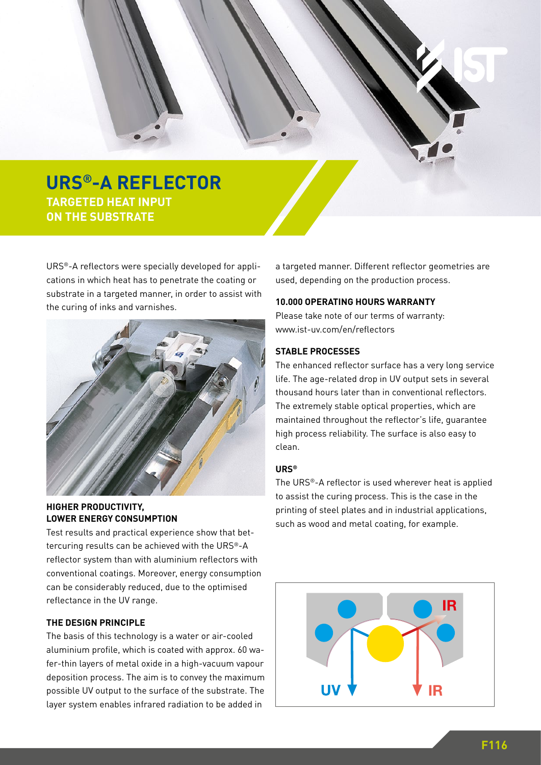

**TARGETED HEAT INPUT THE ON THE SUBSTRATE** 

URS®-A reflectors were specially developed for applications in which heat has to penetrate the coating or substrate in a targeted manner, in order to assist with the curing of inks and varnishes.



**HIGHER PRODUCTIVITY, LOWER ENERGY CONSUMPTION**

Test results and practical experience show that bettercuring results can be achieved with the URS®-A reflector system than with aluminium reflectors with conventional coatings. Moreover, energy consumption can be considerably reduced, due to the optimised reflectance in the UV range.

## **THE DESIGN PRINCIPLE**

The basis of this technology is a water or air-cooled aluminium profile, which is coated with approx. 60 wafer-thin layers of metal oxide in a high-vacuum vapour deposition process. The aim is to convey the maximum possible UV output to the surface of the substrate. The layer system enables infrared radiation to be added in

a targeted manner. Different reflector geometries are used, depending on the production process.

#### **10.000 OPERATING HOURS WARRANTY**

Please take note of our terms of warranty: www.ist-uv.com/en/reflectors

#### **STABLE PROCESSES**

The enhanced reflector surface has a very long service life. The age-related drop in UV output sets in several thousand hours later than in conventional reflectors. The extremely stable optical properties, which are maintained throughout the reflector's life, guarantee high process reliability. The surface is also easy to clean.

#### **URS®**

The URS®-A reflector is used wherever heat is applied to assist the curing process. This is the case in the printing of steel plates and in industrial applications, such as wood and metal coating, for example.